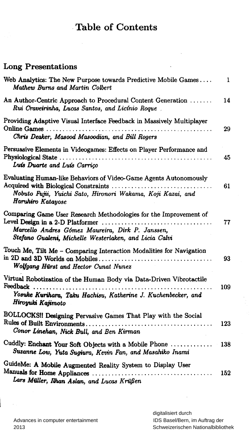## Table of Contents

 $\ddot{\phantom{a}}$ 

### Long Presentations

| Web Analytics: The New Purpose towards Predictive Mobile Games<br>Mathew Burns and Martin Colbert                                                                                                                        | $\mathbf{1}$ |
|--------------------------------------------------------------------------------------------------------------------------------------------------------------------------------------------------------------------------|--------------|
| An Author-Centric Approach to Procedural Content Generation<br>Rui Craveirinha, Lucas Santos, and Licínio Roque                                                                                                          | 14           |
| Providing Adaptive Visual Interface Feedback in Massively Multiplayer<br>Chris Deaker, Masood Masoodian, and Bill Rogers                                                                                                 | 29           |
| Persuasive Elements in Videogames: Effects on Player Performance and<br>Luís Duarte and Luís Carrico                                                                                                                     | 45           |
| Evaluating Human-like Behaviors of Video-Game Agents Autonomously<br>Nobuto Fujii, Yuichi Sato, Hironori Wakama, Koji Kazai, and<br>Haruhiro Katayose                                                                    | 61           |
| Comparing Game User Research Methodologies for the Improvement of<br>Level Design in a 2-D Platformer<br>.<br>Marcello Andres Gómez Maureira, Dirk P. Janssen,<br>Stefano Gualeni, Michelle Westerlaken, and Licia Calvi | 77           |
| Touch Me, Tilt Me - Comparing Interaction Modalities for Navigation<br>Wolfgang Hürst and Hector Cunat Nunez                                                                                                             | 93           |
| Virtual Robotization of the Human Body via Data-Driven Vibrotactile<br>Feedback<br>Yosuke Kurihara, Taku Hachisu, Katherine J. Kuchenbecker, and<br>Hiroyuki Kajimoto                                                    | 109          |
| BOLLOCKS!! Designing Pervasive Games That Play with the Social<br>Conor Linehan, Nick Bull, and Ben Kirman                                                                                                               | 123          |
| Cuddly: Enchant Your Soft Objects with a Mobile Phone<br>Suzanne Low, Yuta Sugiura, Kevin Fan, and Masahiko Inami                                                                                                        | 138          |
| GuideMe: A Mobile Augmented Reality System to Display User<br>Lars Müller, Ilhan Aslan, and Lucas Krüßen                                                                                                                 | 152          |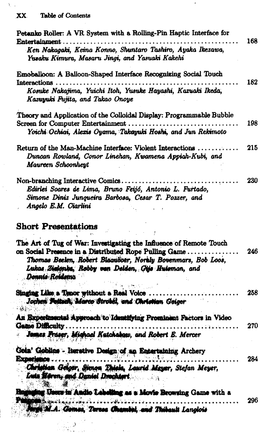$\lambda_{\rm crit}$ 

| Petanko Roller: A VR System with a Rolling-Pin Haptic Interface for<br>Entertainment                                                                                                                                                                                  | 168 |
|-----------------------------------------------------------------------------------------------------------------------------------------------------------------------------------------------------------------------------------------------------------------------|-----|
| Ken Nakagaki, Keina Konno, Shuntaro Tashiro, Ayaka Ikezawa,<br>Yusaku Kimura, Masaru Jingi, and Yasuaki Kakehi                                                                                                                                                        |     |
| Emoballoon: A Balloon-Shaped Interface Recognizing Social Touch                                                                                                                                                                                                       |     |
| Interactions.<br>Kosuke Nakajima, Yuichi Itoh, Yusuke Hayashi, Kazuaki Ikeda,<br>Kazuyuki Fujita, and Takao Onoye                                                                                                                                                     | 182 |
| Theory and Application of the Colloidal Display: Programmable Bubble                                                                                                                                                                                                  |     |
| Screen for Computer Entertainment<br>Yoichi Ochiai, Alexis Oyama, Takayuki Hoshi, and Jun Rekimoto                                                                                                                                                                    | 198 |
| Return of the Man-Machine Interface: Violent Interactions<br>Duncan Rowland, Conor Linehan, Kwamena Appiah-Kubi, and<br>Maureen Schoonheyt                                                                                                                            | 215 |
| Non-branching Interactive Comics<br>Edirlei Soares de Lima, Bruno Feijó, Antonio L. Furtado,<br>Simone Diniz Junqueira Barbosa, Cesar T. Pozzer, and<br>Angelo E.M. Ciarlini                                                                                          | 230 |
| <b>Short Presentations</b>                                                                                                                                                                                                                                            |     |
| The Art of Tug of War: Investigating the Influence of Remote Touch<br>on Social Presence in a Distributed Rope Pulling Game<br>Thomas Beelen, Robert Blaauboer, Noraly Bovenmars, Bob Loos,<br>Lukas Zielenka, Robby van Delden, Gijs Huisman, and<br>Donnis Reidenna | 246 |
| Singing Like a Tenor without a Real Voice<br>Jochen Folluch, Marco Strobol, and Christian Geiger                                                                                                                                                                      | 258 |
| An Experimental Approach to Identifying Prominent Factors in Video<br><b>Game Difficulty</b><br>James Fraser, Michael Katchabaw, and Robert E. Mercer<br>ůf.                                                                                                          | 270 |
| Goin' Goblins - Iterative Design of an Entertaining Archery<br>Experience                                                                                                                                                                                             | 284 |
| Christian Geiger, Simon Thick, Laurid Mayer, Stefan Meyer,<br>Luts Mören, and Daniel Drochtert                                                                                                                                                                        |     |
| ging Users in Andio Lebelling as a Movie Browsing Game with a                                                                                                                                                                                                         |     |
| <b>INDER AND LOW PRODUCT</b><br>Mirge M.A. Gomes, Terese Chambel, and Thibault Langlois                                                                                                                                                                               | 296 |

 $\cdot$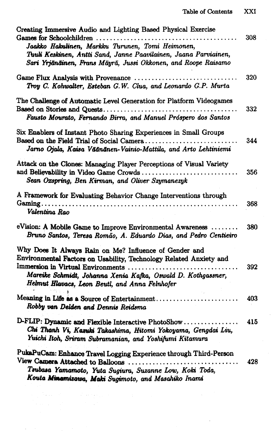| Creating Immersive Audio and Lighting Based Physical Exercise<br>Games for Schoolchildren<br>.<br>Jaakko Hakulinen, Markku Turunen, Tomi Heimonen,<br>Tuuli Keskinen, Antti Sand, Janne Paavilainen, Jaana Parviainen,<br>Sari Yrjänäinen, Frans Mäyrä, Jussi Okkonen, and Roope Raisamo                                                                                                                                                                                              | 308 |
|---------------------------------------------------------------------------------------------------------------------------------------------------------------------------------------------------------------------------------------------------------------------------------------------------------------------------------------------------------------------------------------------------------------------------------------------------------------------------------------|-----|
| Troy C. Kohwalter, Esteban G.W. Clua, and Leonardo G.P. Murta                                                                                                                                                                                                                                                                                                                                                                                                                         | 320 |
| The Challenge of Automatic Level Generation for Platform Videogames<br>Based on Stories and Quests<br>Fausto Mourato, Fernando Birra, and Manuel Próspero dos Santos                                                                                                                                                                                                                                                                                                                  | 332 |
| Six Enablers of Instant Photo Sharing Experiences in Small Groups<br>Jarno Ojala, Kaisa Väänänen-Vainio-Mattila, and Arto Lehtiniemi                                                                                                                                                                                                                                                                                                                                                  | 344 |
| Attack on the Clones: Managing Player Perceptions of Visual Variety<br>Sean Oxspring, Ben Kirman, and Oliver Szymanezyk                                                                                                                                                                                                                                                                                                                                                               | 356 |
| A Framework for Evaluating Behavior Change Interventions through<br>Valentina Rao                                                                                                                                                                                                                                                                                                                                                                                                     | 368 |
| eVision: A Mobile Game to Improve Environmental Awareness<br>Bruno Santos, Teresa Romão, A. Eduardo Dias, and Pedro Centieiro                                                                                                                                                                                                                                                                                                                                                         | 380 |
| Why Does It Always Rain on Me? Influence of Gender and<br>Environmental Factors on Usability, Technology Related Anxiety and<br>Immersion in Virtual Environments<br>Mareike Schmidt, Johanna Xenia Kafka, Oswald D. Kothgassner,<br>Helmut Hlavacs, Leon Beutl, and Anna Felnhofer                                                                                                                                                                                                   | 392 |
| Meaning in Life as a Source of Entertainment<br>Robby van Delden and Dennis Reidsma                                                                                                                                                                                                                                                                                                                                                                                                   | 403 |
| D-FLIP: Dynamic and Flexible Interactive PhotoShow<br>Chi Thanh Vi, Karuki Takashima, Hitomi Yokoyama, Gengdai Liu,<br>Yuichi Itoh, Sriram Subramanian, and Yoshifumi Kitamura                                                                                                                                                                                                                                                                                                        | 415 |
| PukaPuCam: Enhance Travel Logging Experience through Third-Person<br>View Camera Attached to Balloons<br>Tsubasa Yamamoto, Yuta Sugiura, Suzanne Low, Koki Toda,<br>Kouta Minamizawa, Maki Sugimoto, and Masahiko Inami                                                                                                                                                                                                                                                               | 428 |
| $\mathcal{N}_{\mathbf{w}}(\mathbf{x},\mathbf{y})=\mathcal{N}_{\mathbf{w}}(\mathbf{x},\mathbf{y})=\mathcal{N}_{\mathbf{w}}(\mathbf{x},\mathbf{y})=\mathcal{N}_{\mathbf{w}}(\mathbf{x},\mathbf{y})=\mathcal{N}_{\mathbf{w}}(\mathbf{x},\mathbf{y})=\mathcal{N}_{\mathbf{w}}(\mathbf{x},\mathbf{y})$<br>$\label{eq:2.1} \mathcal{L}(\mathcal{A}) = \mathcal{L}(\mathcal{A}) = \mathcal{L}(\mathcal{A}) = \mathcal{L}(\mathcal{A}) = \mathcal{L}(\mathcal{A}) = \mathcal{L}(\mathcal{A})$ |     |

 $\bar{\gamma}$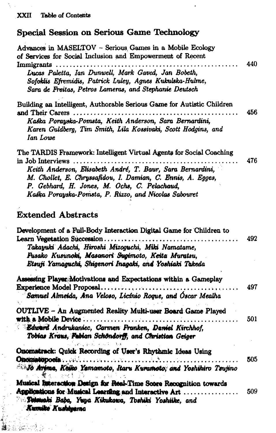# **Special Session on Serious Game Technology**

| Advances in MASELTOV - Serious Games in a Mobile Ecology<br>of Services for Social Inclusion and Empowerment of Recent<br>Immigrants<br>Lucas Paletta, Ian Dunwell, Mark Gaved, Jan Bobeth,<br>Sofoklis Efremidis, Patrick Luley, Agnes Kukulska-Hulme,<br>Sara de Freitas, Petros Lameras, and Stephanie Deutsch                                                               | 440 |
|---------------------------------------------------------------------------------------------------------------------------------------------------------------------------------------------------------------------------------------------------------------------------------------------------------------------------------------------------------------------------------|-----|
| Building an Intelligent, Authorable Serious Game for Autistic Children<br>and Their Carers<br>Kaśka Porayska-Pomsta, Keith Anderson, Sara Bernardini,<br>Karen Guldberg, Tim Smith, Lila Kossivaki, Scott Hodgins, and<br>Ian Lowe                                                                                                                                              | 456 |
| The TARDIS Framework: Intelligent Virtual Agents for Social Coaching<br>in Job Interviews $\dots\dots\dots\dots\dots\dots\dots\dots\dots$<br>Keith Anderson, Elisabeth André, T. Baur, Sara Bernardini,<br>M. Chollet, E. Chryssafidou, I. Damian, C. Ennis, A. Egges,<br>P. Gebhard, H. Jones, M. Ochs, C. Pelachaud,<br>Kaśka Porayska-Pomsta, P. Rizzo, and Nicolas Sabouret | 476 |
| <b>Extended Abstracts</b>                                                                                                                                                                                                                                                                                                                                                       |     |
| Development of a Full-Body Interaction Digital Game for Children to<br>Takayuki Adachi, Hiroshi Mizoguchi, Miki Namatame,<br>Fusako Kusunoki, Masanori Sugimoto, Keita Muratsu,<br>Etsuji Yamaguchi, Shigenori Inagaki, and Yoshiaki Takeda                                                                                                                                     | 492 |
| Assessing Player Motivations and Expectations within a Gameplay<br>Experience Model Proposal<br>Samuel Almeida, Ana Veloso, Licínio Roque, and Óscar Mealha                                                                                                                                                                                                                     | 497 |
| <b>OUTLIVE - An Augmented Reality Multi-user Board Game Played</b><br>with a Mobile Device<br>Edward Andrukaniec, Carmen Franken, Daniel Kirchhof,<br>Tobias Kraus, Fabian Schöndorff, and Christian Geiger                                                                                                                                                                     | 501 |
| nomstrack: Quick Recording of User's Rhythmic Ideas Using<br><sup>35</sup> No Arynia, Keiko Yamamoto, Itaru Kuramoto, and Yoshikiro Tsujino<br>心魔无人 网络红鹳 人名马兹克尼                                                                                                                                                                                                                 | 505 |
| Musical Interaction Design for Real-Time Score Recognition towards<br>Applications for Musical Learning and Interactive Art<br><b>Schmaki Baba, Yuya Kikukawa, Toshiki Yoshiike, and</b><br>Kurniko Kushiyarno                                                                                                                                                                  | 509 |

3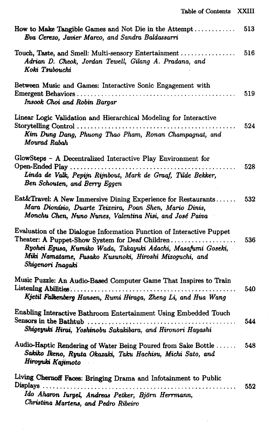$\overline{\phantom{a}}$ 

| Touch, Taste, and Smell: Multi-sensory Entertainment<br>516<br>Adrian D. Cheok, Jordan Tewell, Gilang A. Pradana, and<br>Koki Tsubouchi<br>Between Music and Games: Interactive Sonic Engagement with<br>519<br>Insook Choi and Robin Bargar<br>Linear Logic Validation and Hierarchical Modeling for Interactive<br>524<br>Kim Dung Dang, Phuong Thao Pham, Ronan Champagnat, and<br>Mourad Rabah<br>GlowSteps - A Decentralized Interactive Play Environment for<br>528<br>Linda de Valk, Pepijn Rijnbout, Mark de Graaf, Tilde Bekker,<br>Ben Schouten, and Berry Eggen<br>Eat&Travel: A New Immersive Dining Experience for Restaurants<br>532<br>Mara Dionísio, Duarte Teixeira, Poan Shen, Mario Dinis,<br>Monchu Chen, Nuno Nunes, Valentina Nisi, and José Paiva<br>Evaluation of the Dialogue Information Function of Interactive Puppet<br>Theater: A Puppet-Show System for Deaf Children<br>536<br>Ryohei Egusa, Kumiko Wada, Takayuki Adachi, Masafumi Goseki,<br>Miki Namatame, Fusako Kusunoki, Hiroshi Mizoguchi, and<br>Shigenori Inagaki<br>Music Puzzle: An Audio-Based Computer Game That Inspires to Train<br>540<br>Kjetil Falkenberg Hansen, Rumi Hiraga, Zheng Li, and Hua Wang<br>Enabling Interactive Bathroom Entertainment Using Embedded Touch<br>Sensors in the Bathtub<br>544<br>Shigeyuki Hirai, Yoshinobu Sakakibara, and Hironori Hayashi<br>Audio-Haptic Rendering of Water Being Poured from Sake Bottle<br>548<br>Sakiko Ikeno, Ryuta Okazaki, Taku Hachisu, Michi Sato, and<br>Hiroyuki Kajimoto<br>Living Chernoff Faces: Bringing Drama and Infotainment to Public<br>Displays<br>552<br>$\cdots$ | How to Make Tangible Games and Not Die in the Attempt<br>Eva Cerezo, Javier Marco, and Sandra Baldassarri | 513 |
|-------------------------------------------------------------------------------------------------------------------------------------------------------------------------------------------------------------------------------------------------------------------------------------------------------------------------------------------------------------------------------------------------------------------------------------------------------------------------------------------------------------------------------------------------------------------------------------------------------------------------------------------------------------------------------------------------------------------------------------------------------------------------------------------------------------------------------------------------------------------------------------------------------------------------------------------------------------------------------------------------------------------------------------------------------------------------------------------------------------------------------------------------------------------------------------------------------------------------------------------------------------------------------------------------------------------------------------------------------------------------------------------------------------------------------------------------------------------------------------------------------------------------------------------------------------------------------------------------------------------------------------------|-----------------------------------------------------------------------------------------------------------|-----|
|                                                                                                                                                                                                                                                                                                                                                                                                                                                                                                                                                                                                                                                                                                                                                                                                                                                                                                                                                                                                                                                                                                                                                                                                                                                                                                                                                                                                                                                                                                                                                                                                                                           |                                                                                                           |     |
|                                                                                                                                                                                                                                                                                                                                                                                                                                                                                                                                                                                                                                                                                                                                                                                                                                                                                                                                                                                                                                                                                                                                                                                                                                                                                                                                                                                                                                                                                                                                                                                                                                           |                                                                                                           |     |
|                                                                                                                                                                                                                                                                                                                                                                                                                                                                                                                                                                                                                                                                                                                                                                                                                                                                                                                                                                                                                                                                                                                                                                                                                                                                                                                                                                                                                                                                                                                                                                                                                                           |                                                                                                           |     |
|                                                                                                                                                                                                                                                                                                                                                                                                                                                                                                                                                                                                                                                                                                                                                                                                                                                                                                                                                                                                                                                                                                                                                                                                                                                                                                                                                                                                                                                                                                                                                                                                                                           |                                                                                                           |     |
|                                                                                                                                                                                                                                                                                                                                                                                                                                                                                                                                                                                                                                                                                                                                                                                                                                                                                                                                                                                                                                                                                                                                                                                                                                                                                                                                                                                                                                                                                                                                                                                                                                           |                                                                                                           |     |
|                                                                                                                                                                                                                                                                                                                                                                                                                                                                                                                                                                                                                                                                                                                                                                                                                                                                                                                                                                                                                                                                                                                                                                                                                                                                                                                                                                                                                                                                                                                                                                                                                                           |                                                                                                           |     |
|                                                                                                                                                                                                                                                                                                                                                                                                                                                                                                                                                                                                                                                                                                                                                                                                                                                                                                                                                                                                                                                                                                                                                                                                                                                                                                                                                                                                                                                                                                                                                                                                                                           |                                                                                                           |     |
|                                                                                                                                                                                                                                                                                                                                                                                                                                                                                                                                                                                                                                                                                                                                                                                                                                                                                                                                                                                                                                                                                                                                                                                                                                                                                                                                                                                                                                                                                                                                                                                                                                           |                                                                                                           |     |
|                                                                                                                                                                                                                                                                                                                                                                                                                                                                                                                                                                                                                                                                                                                                                                                                                                                                                                                                                                                                                                                                                                                                                                                                                                                                                                                                                                                                                                                                                                                                                                                                                                           |                                                                                                           |     |
|                                                                                                                                                                                                                                                                                                                                                                                                                                                                                                                                                                                                                                                                                                                                                                                                                                                                                                                                                                                                                                                                                                                                                                                                                                                                                                                                                                                                                                                                                                                                                                                                                                           | Ido Aharon Iurgel, Andreas Petker, Björn Herrmann,                                                        |     |

*Christina Martens, and Pedro Ribeiro* 

 $\bar{\gamma}$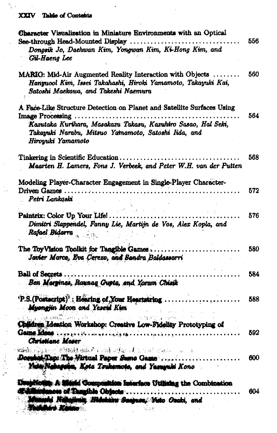### XXIV Table of Contents

 $\frac{1}{2}$  .

 $\mathcal{P}^{\mathcal{A}}$ 

 $\frac{1}{2}$ 

 $\epsilon$ 

| Character Visualization in Miniature Environments with an Optical                                                                                                                                                                        |     |
|------------------------------------------------------------------------------------------------------------------------------------------------------------------------------------------------------------------------------------------|-----|
| See-through Head-Mounted Display<br>Dongsik Jo, Daehwan Kim, Yongwan Kim, Ki-Hong Kim, and<br>Gil-Haeng Lee                                                                                                                              | 556 |
| MARIO: Mid-Air Augmented Reality Interaction with Objects<br>Hanguool Kim, Issei Takahashi, Hiroki Yamamoto, Takayuki Kai,<br>Satoshi Maekawa, and Takeshi Naemura                                                                       | 560 |
| A Face-Like Structure Detection on Planet and Satellite Surfaces Using<br>Image Processing.<br>Kazutaka Kurihara, Masakazu Takasu, Kazuhiro Sasao, Hal Seki,<br>Takayuki Narabu, Mitsuo Yamamoto, Satoshi Iida, and<br>Hiroyuki Yamamoto | 564 |
| $\text{Tinkering in Scientific Education} \dots \dots$<br>Maarten H. Lamers, Fons J. Verbeek, and Peter W.H. van der Putten                                                                                                              | 568 |
| Modeling Player-Character Engagement in Single-Player Character-<br>Driven Games.<br>Petri Lankoski                                                                                                                                      | 572 |
| Paintrix: Color Up Your Life!.<br>Dimitri Slappendel, Fanny Lie, Martijn de Vos, Alex Kopla, and<br>Rafael Bidarra                                                                                                                       | 576 |
| The ToyVision Toolkit for Tangible Games<br>Javier Marco, Eva Cerezo, and Sandra Baldaesarri                                                                                                                                             | 580 |
| <b>Ball of Secrets.</b><br>Ben Margines, Raunag Gupte, and Yorum Chiesk                                                                                                                                                                  | 584 |
| 'P.S.(Postscript)': Hearing of Your Heartstring<br>Myongjin Moon and Yeseth Kim                                                                                                                                                          | 588 |
| Children Ideation Workshop: Creative Low-Fidelity Prototyping of<br>Christiane Moser                                                                                                                                                     | 592 |
| Document Tap: The Nirtual Paper Sumo Game<br>Yeda Nakagaina, Kota Tsukamoto, and Yasuyuki Kono                                                                                                                                           | 600 |
| sticum. A Manic Composition Interface Utilizing the Combination<br>nous of Tangible Objects<br>unahi Nahailmis Hidebaru Saeguse, Vato Ozaki, and<br><b>United vs. Kanans</b><br>$3.757 - 1.7$                                            | 604 |

 $\frac{1}{2}$ 

 $\frac{1}{2}$  ,  $\frac{1}{2}$  ,  $\frac{1}{2}$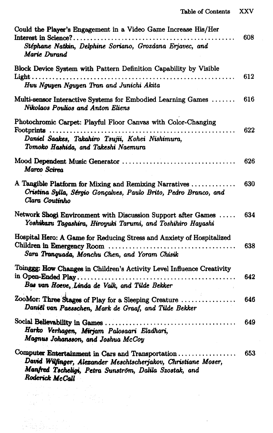$\sim$ 

 $\hat{\boldsymbol{\epsilon}}$ 

| Could the Player's Engagement in a Video Game Increase His/Her<br>Interest in Science?<br>Stéphane Natkin, Delphine Soriano, Grozdana Erjavec, and<br>Marie Durand                                           | 608 |
|--------------------------------------------------------------------------------------------------------------------------------------------------------------------------------------------------------------|-----|
| Block Device System with Pattern Definition Capability by Visible<br>Huu Nguyen Nguyen Tran and Junichi Akita                                                                                                | 612 |
| Multi-sensor Interactive Systems for Embodied Learning Games<br>Nikolaos Poulios and Anton Eliens                                                                                                            | 616 |
| Photochromic Carpet: Playful Floor Canvas with Color-Changing<br>Footprints<br>Daniel Saakes, Takahiro Tsujii, Kohei Nishimura,<br>Tomoko Hashida, and Takeshi Naemura                                       | 622 |
| Mood Dependent Music Generator<br>Marco Scirea                                                                                                                                                               | 626 |
| A Tangible Platform for Mixing and Remixing Narratives<br>Cristina Sylla, Sérgio Gonçalves, Paulo Brito, Pedro Branco, and<br>Clara Coutinho                                                                 | 630 |
| Network Shogi Environment with Discussion Support after Games<br>Yoshikazu Tagashira, Hiroyuki Tarumi, and Toshihiro Hayashi                                                                                 | 634 |
| Hospital Hero: A Game for Reducing Stress and Anxiety of Hospitalized<br>Sara Tranguada, Monchu Chen, and Yoram Chisik                                                                                       | 638 |
| Toinggg: How Changes in Children's Activity Level Influence Creativity<br>in Open-Ended Play<br>Bas van Hoeve, Linda de Valk, and Tilde Bekker                                                               | 642 |
| ZooMor: Three Stages of Play for a Sleeping Creature<br>Daniël van Paesschen, Mark de Graaf, and Tilde Bekker                                                                                                | 646 |
| Harko Verhagen, Mirjam Palosaari Eladhari,<br>Magnus Johansson, and Joshua McCoy                                                                                                                             | 649 |
| Computer Entertainment in Cars and Transportation<br>$\cdots$<br>David Wilfinger, Alexander Meschtscherjakov, Christiane Moser,<br>Manfred Tscheligi, Petra Sunström, Dalila Szostak, and<br>Roderick McCall | 653 |

a Antara (1966)<br>Saan (1966) (1966)<br>Saan (1966) (1966)

ilian<br>Madrida eta